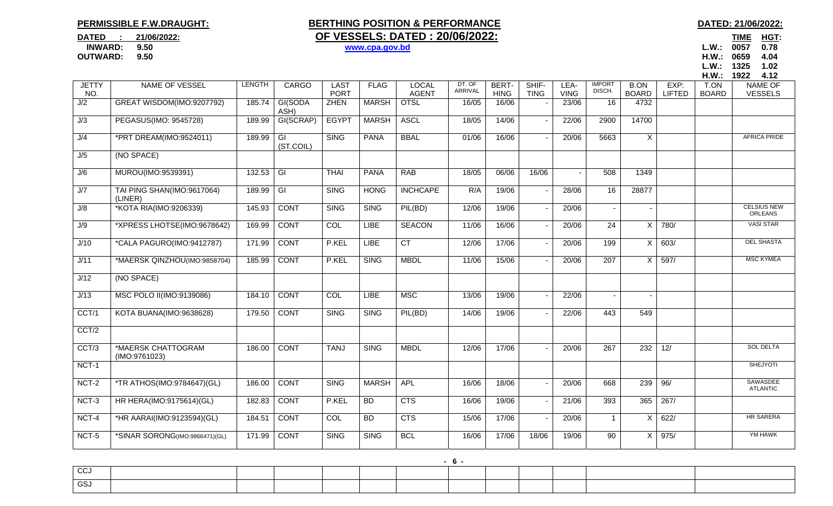## **PERMISSIBLE F.W.DRAUGHT:**

## **BERTHING POSITION & PERFORMANCE DATED: 21/06/2022: DATED** : 21/06/2022: **OF VESSELS: DATED : 20/06/2022:**

TIME HGT:  **INWARD: 9.50 www.cpa.gov.bd L.W.: 0057 0.78 OUTWARD: 9.50 H.W.: 0659 4.04L.W.: 1325 1.02** 

|                     |                                       |               |                 |                            |              |                              |                   |                             |                      |                     |                         |                             |                       | HM.:                 | 1922<br>4.12                         |
|---------------------|---------------------------------------|---------------|-----------------|----------------------------|--------------|------------------------------|-------------------|-----------------------------|----------------------|---------------------|-------------------------|-----------------------------|-----------------------|----------------------|--------------------------------------|
| <b>JETTY</b><br>NO. | <b>NAME OF VESSEL</b>                 | <b>LENGTH</b> | <b>CARGO</b>    | <b>LAST</b><br><b>PORT</b> | <b>FLAG</b>  | <b>LOCAL</b><br><b>AGENT</b> | DT. OF<br>ARRIVAL | <b>BERT-</b><br><b>HING</b> | SHIF-<br><b>TING</b> | LEA-<br><b>VING</b> | <b>IMPORT</b><br>DISCH. | <b>B.ON</b><br><b>BOARD</b> | EXP:<br><b>LIFTED</b> | T.ON<br><b>BOARD</b> | <b>NAME OF</b><br><b>VESSELS</b>     |
| J/2                 | GREAT WISDOM(IMO:9207792)             | 185.74        | GI(SODA<br>ASH) | <b>ZHEN</b>                | <b>MARSH</b> | <b>OTSL</b>                  | 16/05             | 16/06                       |                      | 23/06               | 16                      | 4732                        |                       |                      |                                      |
| J/3                 | PEGASUS(IMO: 9545728)                 | 189.99        | GI(SCRAP)       | <b>EGYPT</b>               | <b>MARSH</b> | <b>ASCL</b>                  | 18/05             | 14/06                       |                      | 22/06               | 2900                    | 14700                       |                       |                      |                                      |
| J/4                 | *PRT DREAM(IMO:9524011)               | 189.99        | GI<br>(ST.COIL) | <b>SING</b>                | <b>PANA</b>  | <b>BBAL</b>                  | 01/06             | 16/06                       |                      | 20/06               | 5663                    | $\times$                    |                       |                      | <b>AFRICA PRIDE</b>                  |
| J/5                 | (NO SPACE)                            |               |                 |                            |              |                              |                   |                             |                      |                     |                         |                             |                       |                      |                                      |
| J/6                 | MUROU(IMO:9539391)                    | 132.53        | $\overline{G}$  | <b>THAI</b>                | <b>PANA</b>  | RAB                          | 18/05             | 06/06                       | 16/06                |                     | 508                     | 1349                        |                       |                      |                                      |
| J/7                 | TAI PING SHAN(IMO:9617064)<br>(LINER) | 189.99        | $\overline{G}$  | <b>SING</b>                | <b>HONG</b>  | <b>INCHCAPE</b>              | R/A               | 19/06                       |                      | 28/06               | 16                      | 28877                       |                       |                      |                                      |
| J/8                 | *KOTA RIA(IMO:9206339)                | 145.93        | <b>CONT</b>     | <b>SING</b>                | <b>SING</b>  | PIL(BD)                      | 12/06             | 19/06                       |                      | 20/06               | $\sim$                  |                             |                       |                      | <b>CELSIUS NEW</b><br><b>ORLEANS</b> |
| J/9                 | *XPRESS LHOTSE(IMO:9678642)           | 169.99        | <b>CONT</b>     | <b>COL</b>                 | <b>LIBE</b>  | <b>SEACON</b>                | 11/06             | 16/06                       |                      | 20/06               | $\overline{24}$         | X                           | 780/                  |                      | <b>VASI STAR</b>                     |
| J/10                | *CALA PAGURO(IMO:9412787)             | 171.99        | <b>CONT</b>     | P.KEL                      | <b>LIBE</b>  | CT                           | 12/06             | 17/06                       |                      | 20/06               | 199                     | X                           | 603/                  |                      | <b>OEL SHASTA</b>                    |
| J/11                | *MAERSK QINZHOU(IMO:9858704)          | 185.99        | <b>CONT</b>     | P.KEL                      | <b>SING</b>  | <b>MBDL</b>                  | 11/06             | 15/06                       |                      | 20/06               | 207                     | X                           | 597/                  |                      | <b>MSC KYMEA</b>                     |
| J/12                | (NO SPACE)                            |               |                 |                            |              |                              |                   |                             |                      |                     |                         |                             |                       |                      |                                      |
| J/13                | MSC POLO II(IMO:9139086)              | 184.10        | <b>CONT</b>     | <b>COL</b>                 | <b>LIBE</b>  | <b>MSC</b>                   | 13/06             | 19/06                       |                      | 22/06               |                         |                             |                       |                      |                                      |
| CCT/1               | KOTA BUANA(IMO:9638628)               | 179.50        | <b>CONT</b>     | <b>SING</b>                | <b>SING</b>  | PIL(BD)                      | 14/06             | 19/06                       |                      | 22/06               | 443                     | 549                         |                       |                      |                                      |
| CCT/2               |                                       |               |                 |                            |              |                              |                   |                             |                      |                     |                         |                             |                       |                      |                                      |
| CCT/3               | *MAERSK CHATTOGRAM<br>(IMO:9761023)   | 186.00        | <b>CONT</b>     | <b>TANJ</b>                | <b>SING</b>  | <b>MBDL</b>                  | 12/06             | 17/06                       |                      | 20/06               | 267                     | 232                         | 12/                   |                      | <b>SOL DELTA</b>                     |
| NCT-1               |                                       |               |                 |                            |              |                              |                   |                             |                      |                     |                         |                             |                       |                      | <b>SHEJYOTI</b>                      |
| NCT-2               | *TR ATHOS(IMO:9784647)(GL)            | 186.00        | <b>CONT</b>     | <b>SING</b>                | <b>MARSH</b> | <b>APL</b>                   | 16/06             | 18/06                       |                      | 20/06               | 668                     | 239                         | 96/                   |                      | SAWASDEE<br><b>ATLANTIC</b>          |
| $NCT-3$             | HR HERA(IMO:9175614)(GL)              | 182.83        | <b>CONT</b>     | P.KEL                      | BD           | CTS                          | 16/06             | 19/06                       |                      | 21/06               | 393                     | 365                         | 267/                  |                      |                                      |
| NCT-4               | *HR AARAI(IMO:9123594)(GL)            | 184.51        | <b>CONT</b>     | COL                        | BD           | CTS                          | 15/06             | 17/06                       |                      | 20/06               | $\mathbf{1}$            | X                           | 622/                  |                      | <b>HR SARERA</b>                     |
| NCT-5               | *SINAR SORONG(IMO:9866471)(GL)        | 171.99        | <b>CONT</b>     | <b>SING</b>                | <b>SING</b>  | <b>BCL</b>                   | 16/06             | 17/06                       | 18/06                | 19/06               | $\overline{90}$         | X                           | 975/                  |                      | <b>YM HAWK</b>                       |
|                     |                                       |               |                 |                            |              |                              |                   |                             |                      |                     |                         |                             |                       |                      |                                      |

| CCJ        |  |  |  |  |  |  |
|------------|--|--|--|--|--|--|
| <b>GSJ</b> |  |  |  |  |  |  |

**- 6 -**